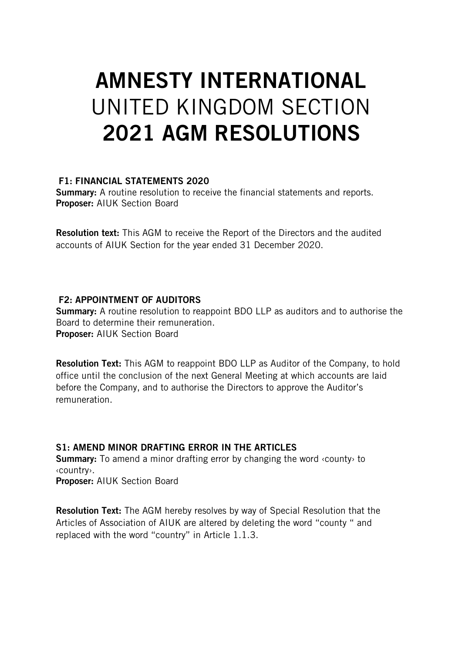# AMNESTY INTERNATIONAL UNITED KINGDOM SECTION 2021 AGM RESOLUTIONS

#### F1: FINANCIAL STATEMENTS 2020

Summary: A routine resolution to receive the financial statements and reports. Proposer: AIUK Section Board

Resolution text: This AGM to receive the Report of the Directors and the audited accounts of AIUK Section for the year ended 31 December 2020.

# F2: APPOINTMENT OF AUDITORS

**Summary:** A routine resolution to reappoint BDO LLP as auditors and to authorise the Board to determine their remuneration. Proposer: AIUK Section Board

Resolution Text: This AGM to reappoint BDO LLP as Auditor of the Company, to hold office until the conclusion of the next General Meeting at which accounts are laid before the Company, and to authorise the Directors to approve the Auditor's remuneration.

# S1: AMEND MINOR DRAFTING ERROR IN THE ARTICLES

Summary: To amend a minor drafting error by changing the word ‹county› to ‹country›. Proposer: AIUK Section Board

Resolution Text: The AGM hereby resolves by way of Special Resolution that the Articles of Association of AIUK are altered by deleting the word "county " and replaced with the word "country" in Article 1.1.3.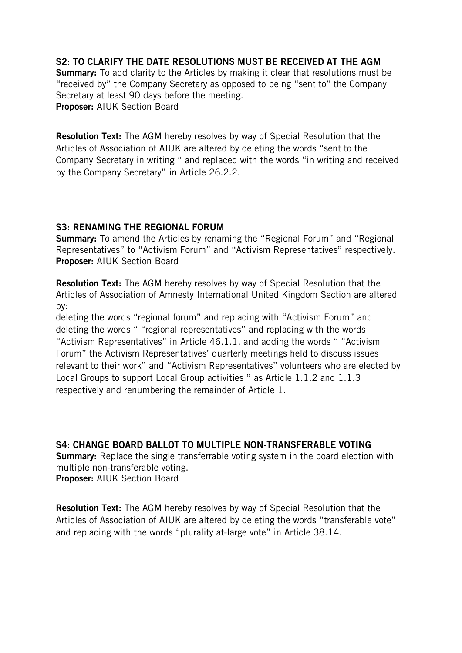## S2: TO CLARIFY THE DATE RESOLUTIONS MUST BE RECEIVED AT THE AGM

Summary: To add clarity to the Articles by making it clear that resolutions must be "received by" the Company Secretary as opposed to being "sent to" the Company Secretary at least 90 days before the meeting. Proposer: AIUK Section Board

Resolution Text: The AGM hereby resolves by way of Special Resolution that the Articles of Association of AIUK are altered by deleting the words "sent to the Company Secretary in writing " and replaced with the words "in writing and received by the Company Secretary" in Article 26.2.2.

#### S3: RENAMING THE REGIONAL FORUM

Summary: To amend the Articles by renaming the "Regional Forum" and "Regional Representatives" to "Activism Forum" and "Activism Representatives" respectively. Proposer: AIUK Section Board

Resolution Text: The AGM hereby resolves by way of Special Resolution that the Articles of Association of Amnesty International United Kingdom Section are altered by:

deleting the words "regional forum" and replacing with "Activism Forum" and deleting the words " "regional representatives" and replacing with the words "Activism Representatives" in Article 46.1.1. and adding the words " "Activism Forum" the Activism Representatives' quarterly meetings held to discuss issues relevant to their work" and "Activism Representatives" volunteers who are elected by Local Groups to support Local Group activities " as Article 1.1.2 and 1.1.3 respectively and renumbering the remainder of Article 1.

S4: CHANGE BOARD BALLOT TO MULTIPLE NON-TRANSFERABLE VOTING **Summary:** Replace the single transferrable voting system in the board election with

multiple non-transferable voting.

Proposer: AIUK Section Board

Resolution Text: The AGM hereby resolves by way of Special Resolution that the Articles of Association of AIUK are altered by deleting the words "transferable vote" and replacing with the words "plurality at-large vote" in Article 38.14.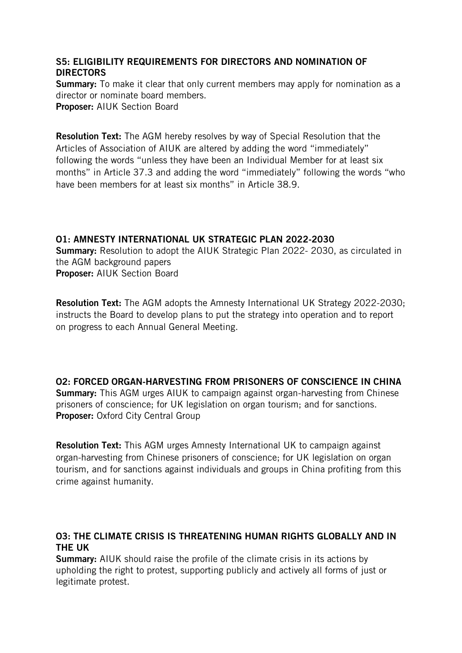# S5: ELIGIBILITY REQUIREMENTS FOR DIRECTORS AND NOMINATION OF **DIRECTORS**

Summary: To make it clear that only current members may apply for nomination as a director or nominate board members. Proposer: AIUK Section Board

Resolution Text: The AGM hereby resolves by way of Special Resolution that the Articles of Association of AIUK are altered by adding the word "immediately" following the words "unless they have been an Individual Member for at least six months" in Article 37.3 and adding the word "immediately" following the words "who have been members for at least six months" in Article 38.9.

#### O1: AMNESTY INTERNATIONAL UK STRATEGIC PLAN 2022-2030 Summary: Resolution to adopt the AIUK Strategic Plan 2022- 2030, as circulated in the AGM background papers Proposer: AIUK Section Board

Resolution Text: The AGM adopts the Amnesty International UK Strategy 2022-2030; instructs the Board to develop plans to put the strategy into operation and to report on progress to each Annual General Meeting.

O2: FORCED ORGAN-HARVESTING FROM PRISONERS OF CONSCIENCE IN CHINA

**Summary:** This AGM urges AIUK to campaign against organ-harvesting from Chinese prisoners of conscience; for UK legislation on organ tourism; and for sanctions. Proposer: Oxford City Central Group

Resolution Text: This AGM urges Amnesty International UK to campaign against organ-harvesting from Chinese prisoners of conscience; for UK legislation on organ tourism, and for sanctions against individuals and groups in China profiting from this crime against humanity.

# O3: THE CLIMATE CRISIS IS THREATENING HUMAN RIGHTS GLOBALLY AND IN THE UK

Summary: AIUK should raise the profile of the climate crisis in its actions by upholding the right to protest, supporting publicly and actively all forms of just or legitimate protest.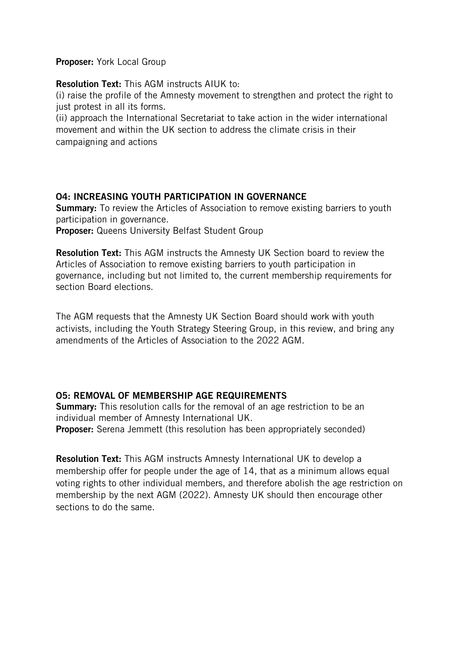Proposer: York Local Group

#### Resolution Text: This AGM instructs AIUK to:

(i) raise the profile of the Amnesty movement to strengthen and protect the right to just protest in all its forms.

(ii) approach the International Secretariat to take action in the wider international movement and within the UK section to address the climate crisis in their campaigning and actions

#### O4: INCREASING YOUTH PARTICIPATION IN GOVERNANCE

**Summary:** To review the Articles of Association to remove existing barriers to youth participation in governance.

Proposer: Queens University Belfast Student Group

Resolution Text: This AGM instructs the Amnesty UK Section board to review the Articles of Association to remove existing barriers to youth participation in governance, including but not limited to, the current membership requirements for section Board elections.

The AGM requests that the Amnesty UK Section Board should work with youth activists, including the Youth Strategy Steering Group, in this review, and bring any amendments of the Articles of Association to the 2022 AGM.

# O5: REMOVAL OF MEMBERSHIP AGE REQUIREMENTS

**Summary:** This resolution calls for the removal of an age restriction to be an individual member of Amnesty International UK. Proposer: Serena Jemmett (this resolution has been appropriately seconded)

Resolution Text: This AGM instructs Amnesty International UK to develop a membership offer for people under the age of 14, that as a minimum allows equal voting rights to other individual members, and therefore abolish the age restriction on membership by the next AGM (2022). Amnesty UK should then encourage other sections to do the same.